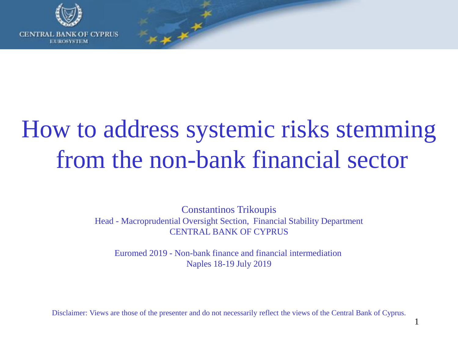

OF CYPRUS CENTRAL BA **EUROSYSTEM** 

# How to address systemic risks stemming from the non-bank financial sector

Constantinos Trikoupis Head - Macroprudential Oversight Section, Financial Stability Department CENTRAL BANK OF CYPRUS

Euromed 2019 - Non-bank finance and financial intermediation Naples 18-19 July 2019

Disclaimer: Views are those of the presenter and do not necessarily reflect the views of the Central Bank of Cyprus.

1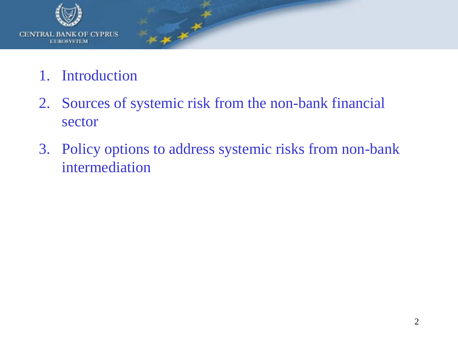

- 1. Introduction
- 2. Sources of systemic risk from the non-bank financial sector
- 3. Policy options to address systemic risks from non-bank intermediation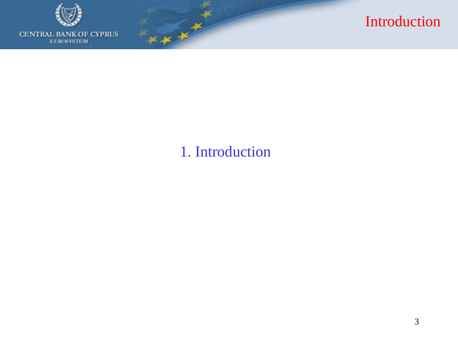



#### 1. Introduction

 $x^*$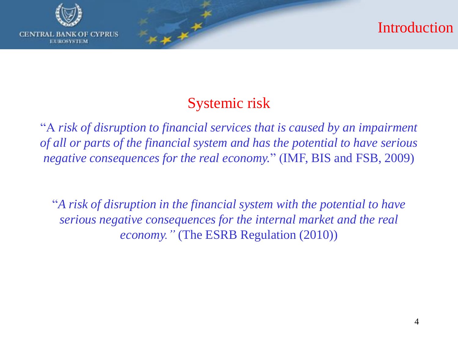

**EUROSYSTEM** 

CENTRAL BA

OF CYPRUS

Introduction

#### Systemic risk

"A *risk of disruption to financial services that is caused by an impairment of all or parts of the financial system and has the potential to have serious negative consequences for the real economy.*" (IMF, BIS and FSB, 2009)

"*A risk of disruption in the financial system with the potential to have serious negative consequences for the internal market and the real economy."* (The ESRB Regulation (2010))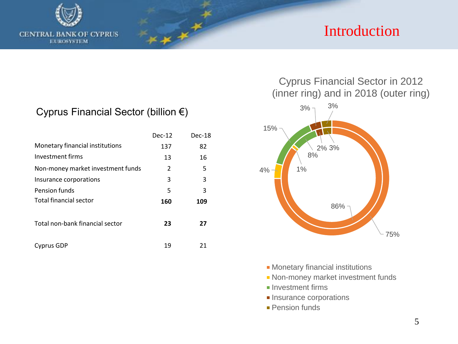

#### Introduction

#### Cyprus Financial Sector (billion €)

|                                   | $Dec-12$      | Dec-18 |
|-----------------------------------|---------------|--------|
| Monetary financial institutions   | 137           | 82     |
| Investment firms                  | 13            | 16     |
| Non-money market investment funds | $\mathcal{P}$ | 5      |
| Insurance corporations            | 3             | 3      |
| <b>Pension funds</b>              | 5             | 3      |
| Total financial sector            | 160           | 109    |
| Total non-bank financial sector   | 23            | 27     |
| Cyprus GDP                        | 19            | 21     |

#### Cyprus Financial Sector in 2012 (inner ring) and in 2018 (outer ring)



- **Monetary financial institutions**
- **Non-money market investment funds**
- $\blacksquare$  Investment firms
- **Insurance corporations**
- **Pension funds**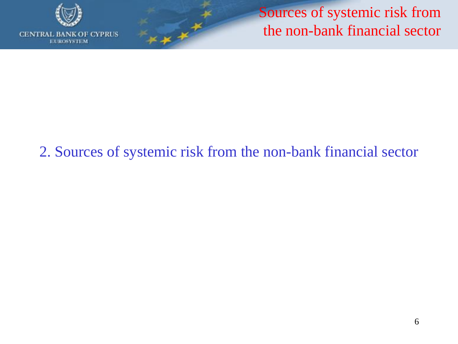

**OF CYPRUS CENTRAL BANK EUROSYSTEM** 

Sources of systemic risk from the non-bank financial sector

### 2. Sources of systemic risk from the non-bank financial sector

 $*$   $*$   $*$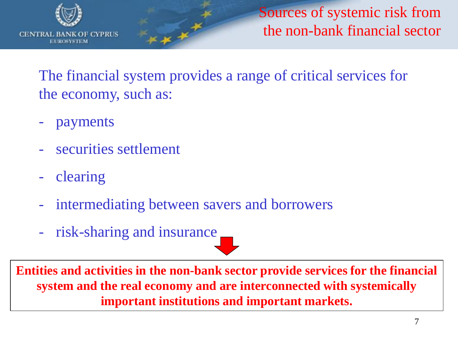

Sources of systemic risk from the non-bank financial sector

The financial system provides a range of critical services for the economy, such as:

- payments
- securities settlement
- clearing
- intermediating between savers and borrowers
- risk-sharing and insurance

**Entities and activities in the non-bank sector provide services for the financial system and the real economy and are interconnected with systemically important institutions and important markets.**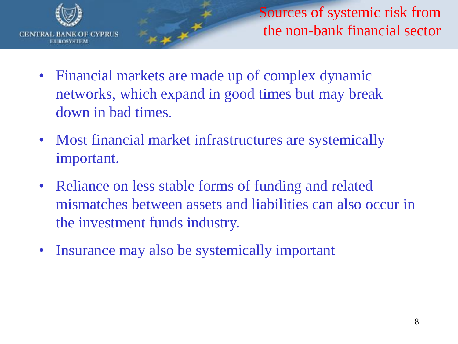

Sources of systemic risk from the non-bank financial sector

- Financial markets are made up of complex dynamic networks, which expand in good times but may break down in bad times.
- Most financial market infrastructures are systemically important.
- Reliance on less stable forms of funding and related mismatches between assets and liabilities can also occur in the investment funds industry.
- Insurance may also be systemically important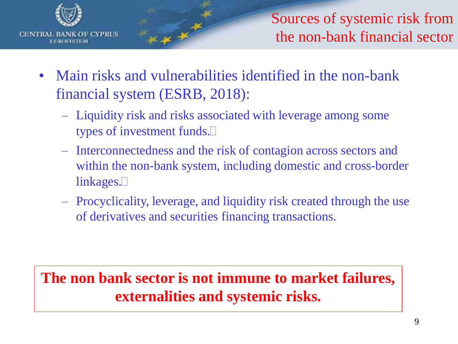

- Main risks and vulnerabilities identified in the non-bank financial system (ESRB, 2018):
	- Liquidity risk and risks associated with leverage among some types of investment funds.
	- Interconnectedness and the risk of contagion across sectors and within the non-bank system, including domestic and cross-border linkages.
	- Procyclicality, leverage, and liquidity risk created through the use of derivatives and securities financing transactions.

#### **The non bank sector is not immune to market failures, externalities and systemic risks.**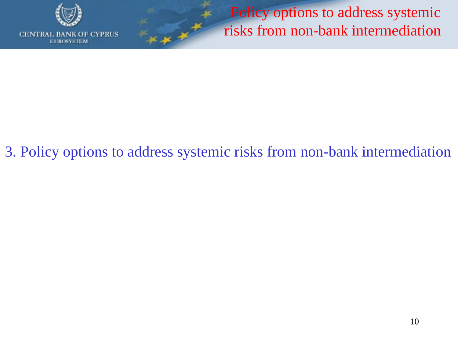

**OF CYPRUS CENTRAL BANK EUROSYSTEM** 

Policy options to address systemic risks from non-bank intermediation

### 3. Policy options to address systemic risks from non-bank intermediation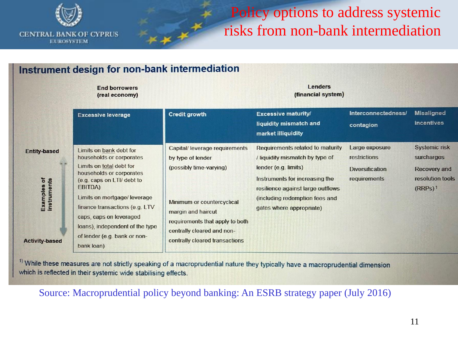

#### Policy options to address systemic risks from non-bank intermediation

| Instrument design for non-bank intermediation                              |                                                                                                                                                                                                                                                                                                                                   |                                                                                                                                                                                                                                       |                                                                                                                                                                                                                                  |                                                                          |                                                                                               |  |  |
|----------------------------------------------------------------------------|-----------------------------------------------------------------------------------------------------------------------------------------------------------------------------------------------------------------------------------------------------------------------------------------------------------------------------------|---------------------------------------------------------------------------------------------------------------------------------------------------------------------------------------------------------------------------------------|----------------------------------------------------------------------------------------------------------------------------------------------------------------------------------------------------------------------------------|--------------------------------------------------------------------------|-----------------------------------------------------------------------------------------------|--|--|
|                                                                            | Lenders<br><b>End borrowers</b><br>(financial system)<br>(real economy)                                                                                                                                                                                                                                                           |                                                                                                                                                                                                                                       |                                                                                                                                                                                                                                  |                                                                          |                                                                                               |  |  |
|                                                                            | <b>Excessive leverage</b>                                                                                                                                                                                                                                                                                                         | <b>Credit growth</b>                                                                                                                                                                                                                  | <b>Excessive maturity/</b><br>liquidity mismatch and<br>market illiquidity                                                                                                                                                       | Interconnectedness/<br>contagion                                         | Misaligned<br>incentives                                                                      |  |  |
| <b>Entity-based</b><br>Examples of<br>Instruments<br><b>Activity-based</b> | Limits on bank debt for<br>households or corporates<br>Limits on total debt for<br>households or corporates<br>(e.g. caps on LTI/ debt to<br>EBITDA)<br>Limits on mortgage/leverage<br>finance transactions (e.g. LTV<br>caps, caps on leveraged<br>loans), independent of the type<br>of lender (e.g. bank or non-<br>bank loan) | Capital/ leverage requirements<br>by type of lender<br>(possibly time-varying)<br>Minimum or countercyclical<br>margin and haircut<br>requirements that apply to both<br>centrally cleared and non-<br>centrally cleared transactions | Requirements related to maturity<br>/ liquidity mismatch by type of<br>lender (e.g. limits)<br>Instruments for increasing the<br>resilience against large outflows<br>(including redemption fees and<br>gates where appropriate) | Large exposure<br>restrictions<br><b>Diversification</b><br>requirements | Systemic risk<br>surcharges<br><b>Recovery and</b><br>resolution tools<br>(RRPS) <sup>1</sup> |  |  |

<sup>1)</sup> While these measures are not strictly speaking of a macroprudential nature they typically have a macroprudential dimension which is reflected in their systemic wide stabilising effects.

Source: Macroprudential policy beyond banking: An ESRB strategy paper (July 2016)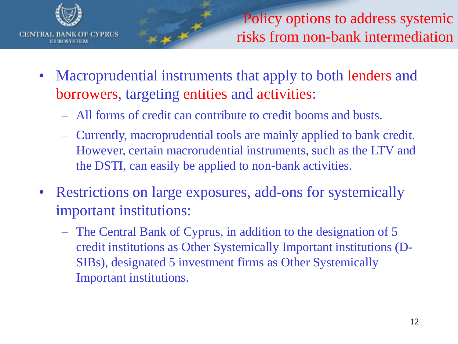

Policy options to address systemic risks from non-bank intermediation

- Macroprudential instruments that apply to both lenders and borrowers, targeting entities and activities:
	- All forms of credit can contribute to credit booms and busts.
	- Currently, macroprudential tools are mainly applied to bank credit. However, certain macrorudential instruments, such as the LTV and the DSTI, can easily be applied to non-bank activities.
- Restrictions on large exposures, add-ons for systemically important institutions:
	- The Central Bank of Cyprus, in addition to the designation of 5 credit institutions as Other Systemically Important institutions (D-SIBs), designated 5 investment firms as Other Systemically Important institutions.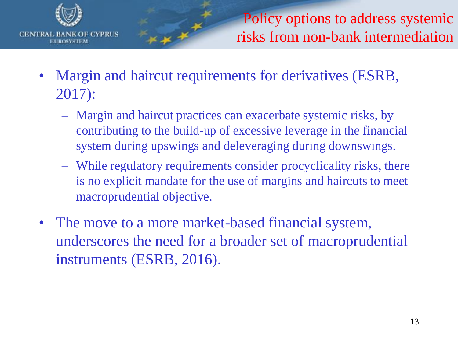

Policy options to address systemic risks from non-bank intermediation

- Margin and haircut requirements for derivatives (ESRB, 2017):
	- Margin and haircut practices can exacerbate systemic risks, by contributing to the build-up of excessive leverage in the financial system during upswings and deleveraging during downswings.
	- While regulatory requirements consider procyclicality risks, there is no explicit mandate for the use of margins and haircuts to meet macroprudential objective.
- The move to a more market-based financial system, underscores the need for a broader set of macroprudential instruments (ESRB, 2016).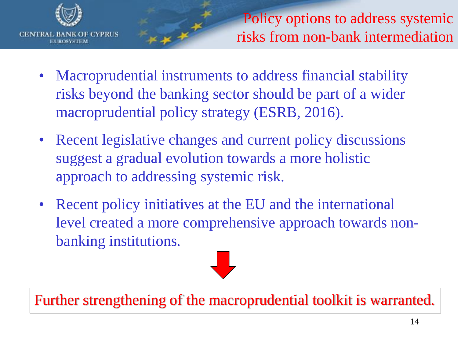

Policy options to address systemic risks from non-bank intermediation

- Macroprudential instruments to address financial stability risks beyond the banking sector should be part of a wider macroprudential policy strategy (ESRB, 2016).
- Recent legislative changes and current policy discussions suggest a gradual evolution towards a more holistic approach to addressing systemic risk.
- Recent policy initiatives at the EU and the international level created a more comprehensive approach towards nonbanking institutions.



Further strengthening of the macroprudential toolkit is warranted.